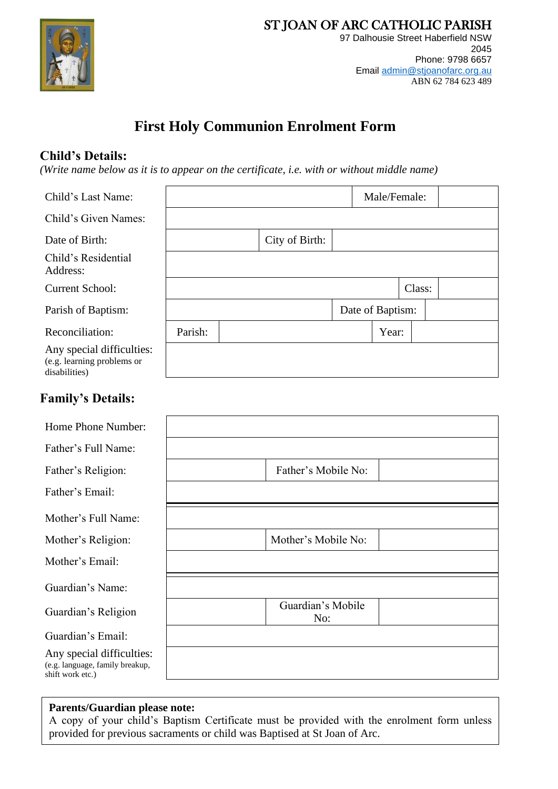

## **First Holy Communion Enrolment Form**

### **Child's Details:**

*(Write name below as it is to appear on the certificate, i.e. with or without middle name)*

| Child's Last Name:                                                       |         |                |                  | Male/Female: |        |  |
|--------------------------------------------------------------------------|---------|----------------|------------------|--------------|--------|--|
| Child's Given Names:                                                     |         |                |                  |              |        |  |
| Date of Birth:                                                           |         | City of Birth: |                  |              |        |  |
| Child's Residential<br>Address:                                          |         |                |                  |              |        |  |
| <b>Current School:</b>                                                   |         |                |                  |              | Class: |  |
| Parish of Baptism:                                                       |         |                | Date of Baptism: |              |        |  |
| Reconciliation:                                                          | Parish: |                |                  | Year:        |        |  |
| Any special difficulties:<br>(e.g. learning problems or<br>disabilities) |         |                |                  |              |        |  |
| <b>Family's Details:</b>                                                 |         |                |                  |              |        |  |

| Home Phone Number:                                                               |                          |
|----------------------------------------------------------------------------------|--------------------------|
| Father's Full Name:                                                              |                          |
| Father's Religion:                                                               | Father's Mobile No:      |
| Father's Email:                                                                  |                          |
| Mother's Full Name:                                                              |                          |
| Mother's Religion:                                                               | Mother's Mobile No:      |
| Mother's Email:                                                                  |                          |
| Guardian's Name:                                                                 |                          |
| Guardian's Religion                                                              | Guardian's Mobile<br>No: |
| Guardian's Email:                                                                |                          |
| Any special difficulties:<br>(e.g. language, family breakup,<br>shift work etc.) |                          |
|                                                                                  |                          |

#### **Parents/Guardian please note:**

A copy of your child's Baptism Certificate must be provided with the enrolment form unless provided for previous sacraments or child was Baptised at St Joan of Arc.